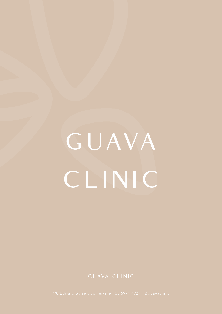# G UAVA CLINIC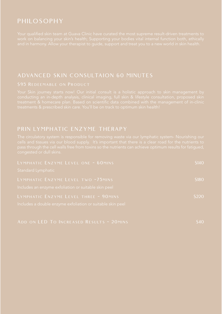# PRIN LYMPHATIC ENZYME THERAPY

| LYMPHATIC ENZYME LEVEL ONE ~ 60MINS                        | \$140 |
|------------------------------------------------------------|-------|
| Standard Lymphatic                                         |       |
| LYMPHATIC ENZYME LEVEL TWO ~75MINS                         | \$180 |
| Includes an enzyme exfoliation or suitable skin peel       |       |
| LYMPHATIC ENZYME LEVEL THREE ~ 90MINS                      | \$220 |
| Includes a double enzyme exfoliation or suitable skin peel |       |
|                                                            |       |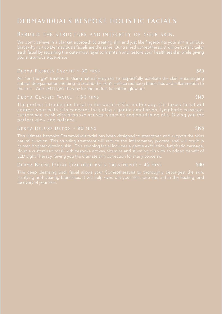# DERMAVIDUALS BESPOKE HOLISTIC FACIALS

### Rebuild the structure and integrity of your skin.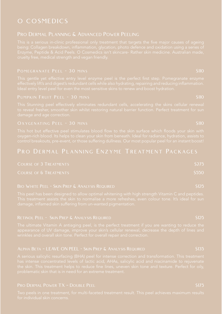# O COSMEDICS

### PRO DERMAL PLANNING & ADVANCED POWER PEELING

| <b>COURSE OF 3 TREATMENTS</b> | \$275 |
|-------------------------------|-------|
| <b>COURSE OF 6 TREATMENTS</b> | \$550 |

### BIO WHITE PEEL - SKIN PREP & ANALYSIS REQUIRED \$125

### RETINOL PEEL - SKIN PREP & ANALYSIS REQUIRED **\$125** STONE \$125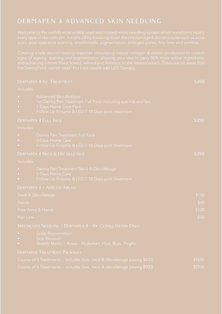# DERMAPEN 4 ADVANCED SKIN NEEDLING

|                  | <b>DERMAPEN 4 1ST TREATMENT</b>                                                                                                                                            | \$395  |
|------------------|----------------------------------------------------------------------------------------------------------------------------------------------------------------------------|--------|
| Includes:        |                                                                                                                                                                            |        |
| $\ddot{\bullet}$ | <b>Advanced Skin Analysis</b><br>1st Derma Pen Treatment Full Face including eye lids and lips<br>5 Days Home Care Pack<br>Follow Up Enzyme & LED 7-10 Days post treatment |        |
|                  | <b>DERMAPEN 4 FULL FACE</b>                                                                                                                                                | \$350  |
| Includes:        |                                                                                                                                                                            |        |
|                  | Derma Pen Treatment Full Face<br>5 Days Home Care<br>Follow Up Enzyme & LED 7-10 Days post treatment                                                                       |        |
|                  | DERMAPEN 4 NECK & DÉCOLLETAGE                                                                                                                                              | \$350  |
| Includes:        |                                                                                                                                                                            |        |
|                  | Derma Pen Treatment Neck & Décolletage<br>5 Days Home Care<br>Follow Up Enzyme & LED 7-10 Days post treatment                                                              |        |
|                  | DERMAPEN 4 ~ ADD ON AREAS:                                                                                                                                                 |        |
|                  | Neck & Décolletage                                                                                                                                                         | \$150  |
| Hands            |                                                                                                                                                                            | \$40   |
|                  | Fore Arms & Hands                                                                                                                                                          | \$100  |
| Hair Line        |                                                                                                                                                                            | \$50   |
|                  | SPECIALISED NEEDLING ~ DERMAPEN 4 ~ BY CONSULTATION ONLY                                                                                                                   |        |
| $\bullet$        | <b>Scalp Rejuvenation</b><br><b>Scar Revision</b><br>Stretch Marks ~ Areas - Abdomen, Hips, Bust, Thighs                                                                   |        |
|                  | <b>DERMAPEN TREATMENT PACKAGES</b>                                                                                                                                         |        |
|                  | Course of 3 Treatments – includes face, neck & décolletage (saving \$450)                                                                                                  | \$1050 |
|                  | Course of 6 Treatments – includes face, neck & décolletage (saving \$900)                                                                                                  | \$2100 |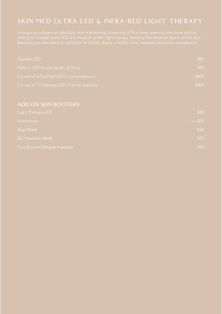# SKIN MED ULTRA LED & INFRA-RED LIGHT THERAPY

| Express LED                               | \$80  |
|-------------------------------------------|-------|
| Add on LED to any facial: 20 Mins         | \$40  |
| Course of 6 Express LED (1 comp session)  | \$400 |
| Course of 12 Express LED (2 comp session) | \$800 |

| Light Therapy LED            | \$40        |
|------------------------------|-------------|
| <b>Extractions</b>           | $*From $25$ |
| Alga Mask                    | \$30        |
| Epi Nouvelle Mask            | \$30        |
| Gua Sha anti-fatigue massage | \$40        |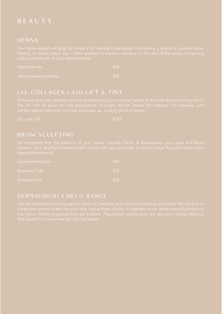# B E A U T Y

### **HENNA**

| Henna Brows         | \$40 |
|---------------------|------|
| Hanna Brows and Way | こコン  |

### LVL COLLAGEN LASH LIFT & TINT

### BROW SCULPTING

| Eyebrow Reshape | \$45 |
|-----------------|------|
| Eyebrow Tidy    | \$25 |
| Eyebrow Tint    | \$25 |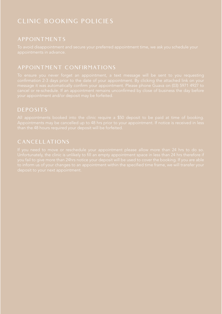# CLINIC BOOKING POLICIES

# APPOINTMENTS

# APPOINTMENT CONFIRMATIONS

# DEPOSITS

# CANCELLATIONS